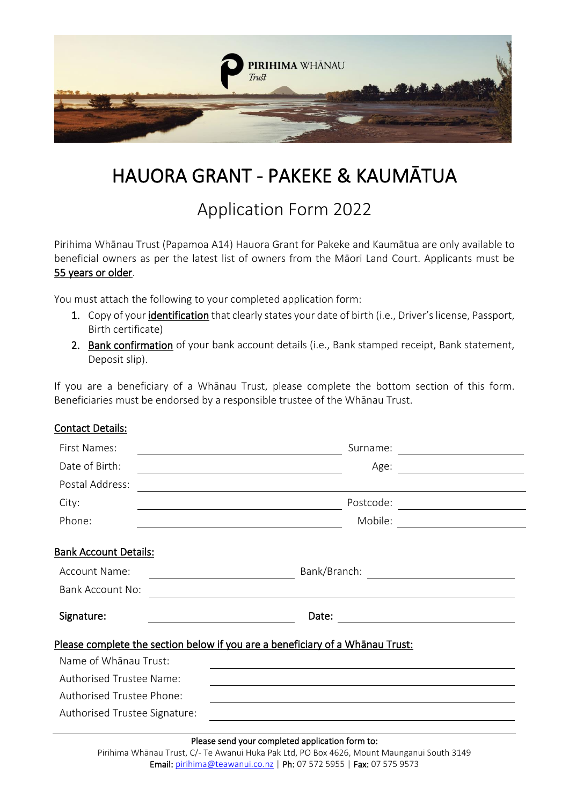

# HAUORA GRANT - PAKEKE & KAUMĀTUA

## Application Form 2022

Pirihima Whānau Trust (Papamoa A14) Hauora Grant for Pakeke and Kaumātua are only available to beneficial owners as per the latest list of owners from the Māori Land Court. Applicants must be 55 years or older.

You must attach the following to your completed application form:

- 1. Copy of your identification that clearly states your date of birth (i.e., Driver's license, Passport, Birth certificate)
- 2. Bank confirmation of your bank account details (i.e., Bank stamped receipt, Bank statement, Deposit slip).

If you are a beneficiary of a Whānau Trust, please complete the bottom section of this form. Beneficiaries must be endorsed by a responsible trustee of the Whānau Trust.

## Contact Details:

| First Names:                                                                                                                        | Surname:                                                                                                                           |
|-------------------------------------------------------------------------------------------------------------------------------------|------------------------------------------------------------------------------------------------------------------------------------|
| Date of Birth:                                                                                                                      | Age:                                                                                                                               |
| Postal Address:                                                                                                                     |                                                                                                                                    |
| City:                                                                                                                               | Postcode:<br><u> 1990 - Antonio Alemania, presidente e alemán de la propia de la propia de la propia de la propia de la propia</u> |
| Phone:                                                                                                                              | Mobile:                                                                                                                            |
| <b>Bank Account Details:</b>                                                                                                        |                                                                                                                                    |
| <b>Account Name:</b>                                                                                                                | Bank/Branch:<br><u> 1989 - Andrea Maria Alemania, pre</u>                                                                          |
| <b>Bank Account No:</b>                                                                                                             | <u> 1989 - Johann Stoff, deutscher Stoffen und der Stoffen und der Stoffen und der Stoffen und der Stoffen und der</u>             |
| Signature:                                                                                                                          | Date:<br><u> 1989 - Johann Barbara, martxa alemaniar a</u>                                                                         |
|                                                                                                                                     | Please complete the section below if you are a beneficiary of a Whānau Trust:                                                      |
| Name of Whanau Trust:                                                                                                               |                                                                                                                                    |
| <b>Authorised Trustee Name:</b>                                                                                                     |                                                                                                                                    |
| Authorised Trustee Phone:                                                                                                           |                                                                                                                                    |
| Authorised Trustee Signature:<br><u>a sa barang ang pagbabang nagang pangangang nagang pangangang nagang pangangang nagang pang</u> |                                                                                                                                    |
|                                                                                                                                     |                                                                                                                                    |

#### Please send your completed application form to:

Pirihima Whānau Trust, C/- Te Awanui Huka Pak Ltd, PO Box 4626, Mount Maunganui South 3149 Email[: pirihima@teawanui.co.nz](mailto:pirihima@teawanui.co.nz) | Ph: 07 572 5955 | Fax: 07 575 9573